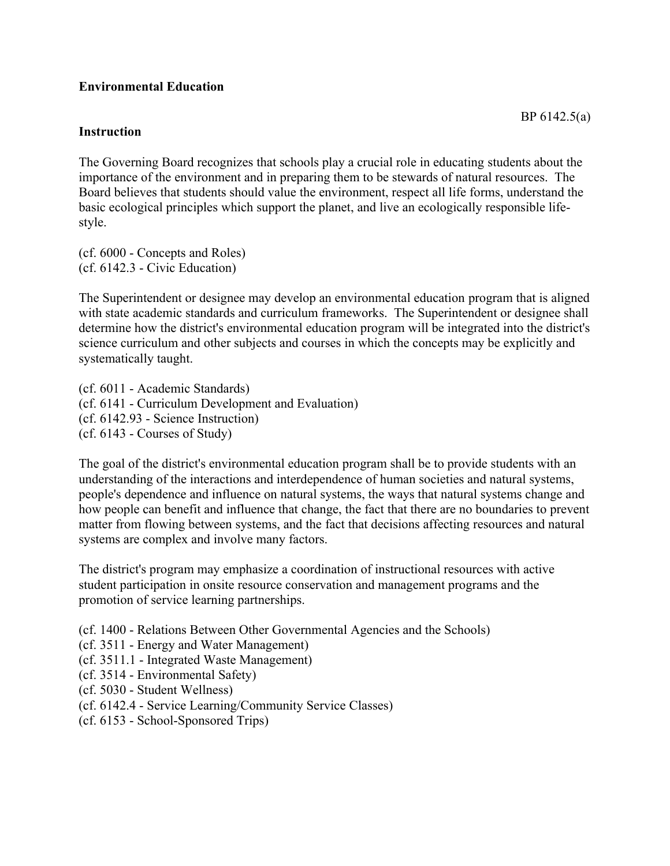## **Environmental Education**

## **Instruction**

The Governing Board recognizes that schools play a crucial role in educating students about the importance of the environment and in preparing them to be stewards of natural resources. The Board believes that students should value the environment, respect all life forms, understand the basic ecological principles which support the planet, and live an ecologically responsible lifestyle.

(cf. 6000 - Concepts and Roles) (cf. 6142.3 - Civic Education)

The Superintendent or designee may develop an environmental education program that is aligned with state academic standards and curriculum frameworks. The Superintendent or designee shall determine how the district's environmental education program will be integrated into the district's science curriculum and other subjects and courses in which the concepts may be explicitly and systematically taught.

(cf. 6011 - Academic Standards) (cf. 6141 - Curriculum Development and Evaluation) (cf. 6142.93 - Science Instruction) (cf. 6143 - Courses of Study)

The goal of the district's environmental education program shall be to provide students with an understanding of the interactions and interdependence of human societies and natural systems, people's dependence and influence on natural systems, the ways that natural systems change and how people can benefit and influence that change, the fact that there are no boundaries to prevent matter from flowing between systems, and the fact that decisions affecting resources and natural systems are complex and involve many factors.

The district's program may emphasize a coordination of instructional resources with active student participation in onsite resource conservation and management programs and the promotion of service learning partnerships.

- (cf. 1400 Relations Between Other Governmental Agencies and the Schools)
- (cf. 3511 Energy and Water Management)
- (cf. 3511.1 Integrated Waste Management)
- (cf. 3514 Environmental Safety)
- (cf. 5030 Student Wellness)
- (cf. 6142.4 Service Learning/Community Service Classes)
- (cf. 6153 School-Sponsored Trips)